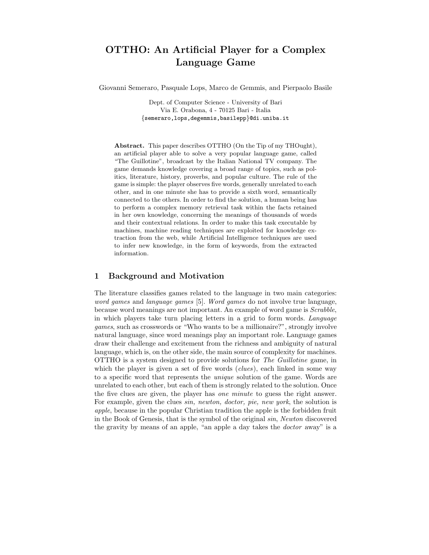# **OTTHO: An Artificial Player for a Complex Language Game**

Giovanni Semeraro, Pasquale Lops, Marco de Gemmis, and Pierpaolo Basile

Dept. of Computer Science - University of Bari Via E. Orabona, 4 - 70125 Bari - Italia *{*semeraro,lops,degemmis,basilepp*}*@di.uniba.it

**Abstract.** This paper describes OTTHO (On the Tip of my THOught), an artificial player able to solve a very popular language game, called "The Guillotine", broadcast by the Italian National TV company. The game demands knowledge covering a broad range of topics, such as politics, literature, history, proverbs, and popular culture. The rule of the game is simple: the player observes five words, generally unrelated to each other, and in one minute she has to provide a sixth word, semantically connected to the others. In order to find the solution, a human being has to perform a complex memory retrieval task within the facts retained in her own knowledge, concerning the meanings of thousands of words and their contextual relations. In order to make this task executable by machines, machine reading techniques are exploited for knowledge extraction from the web, while Artificial Intelligence techniques are used to infer new knowledge, in the form of keywords, from the extracted information.

## **1 Background and Motivation**

The literature classifies games related to the language in two main categories: *word games* and *language games* [5]. *Word games* do not involve true language, because word meanings are not important. An example of word game is *Scrabble*, in which players take turn placing letters in a grid to form words. *Language games*, such as crosswords or "Who wants to be a millionaire?", strongly involve natural language, since word meanings play an important role. Language games draw their challenge and excitement from the richness and ambiguity of natural language, which is, on the other side, the main source of complexity for machines. OTTHO is a system designed to provide solutions for *The Guillotine* game, in which the player is given a set of five words (*clues*), each linked in some way to a specific word that represents the *unique* solution of the game. Words are unrelated to each other, but each of them is strongly related to the solution. Once the five clues are given, the player has *one minute* to guess the right answer. For example, given the clues *sin, newton, doctor, pie, new york*, the solution is *apple*, because in the popular Christian tradition the apple is the forbidden fruit in the Book of Genesis, that is the symbol of the original *sin*, *Newton* discovered the gravity by means of an apple, "an apple a day takes the *doctor* away" is a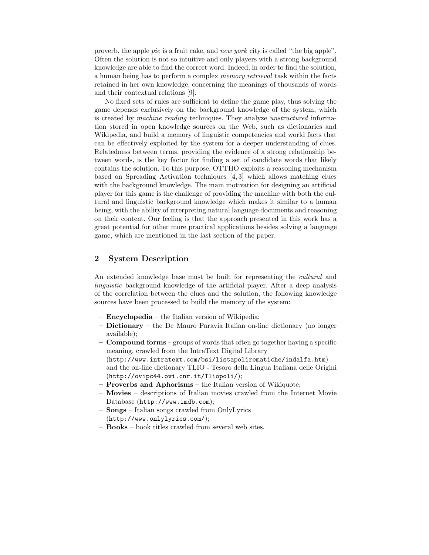proverb, the apple *pie* is a fruit cake, and *new york* city is called "the big apple". Often the solution is not so intuitive and only players with a strong background knowledge are able to find the correct word. Indeed, in order to find the solution, a human being has to perform a complex *memory retrieval* task within the facts retained in her own knowledge, concerning the meanings of thousands of words and their contextual relations [9].

No fixed sets of rules are sufficient to define the game play, thus solving the game depends exclusively on the background knowledge of the system, which is created by *machine reading* techniques. They analyze *unstructured* information stored in open knowledge sources on the Web, such as dictionaries and Wikipedia, and build a memory of linguistic competencies and world facts that can be effectively exploited by the system for a deeper understanding of clues. Relatedness between terms, providing the evidence of a strong relationship between words, is the key factor for finding a set of candidate words that likely contains the solution. To this purpose, OTTHO exploits a reasoning mechanism based on Spreading Activation techniques [4, 3] which allows matching clues with the background knowledge. The main motivation for designing an artificial player for this game is the challenge of providing the machine with both the cultural and linguistic background knowledge which makes it similar to a human being, with the ability of interpreting natural language documents and reasoning on their content. Our feeling is that the approach presented in this work has a great potential for other more practical applications besides solving a language game, which are mentioned in the last section of the paper.

# **2 System Description**

An extended knowledge base must be built for representing the *cultural* and *linguistic* background knowledge of the artificial player. After a deep analysis of the correlation between the clues and the solution, the following knowledge sources have been processed to build the memory of the system:

- **Encyclopedia** the Italian version of Wikipedia;
- **Dictionary** the De Mauro Paravia Italian on-line dictionary (no longer available);
- **Compound forms** groups of words that often go together having a specific meaning, crawled from the IntraText Digital Library (http://www.intratext.com/bsi/listapolirematiche/indalfa.htm) and the on-line dictionary TLIO - Tesoro della Lingua Italiana delle Origini (http://ovipc44.ovi.cnr.it/Tliopoli/);
- **Proverbs and Aphorisms** the Italian version of Wikiquote;
- **Movies** descriptions of Italian movies crawled from the Internet Movie Database (http://www.imdb.com);
- **Songs** Italian songs crawled from OnlyLyrics (http://www.onlylyrics.com/);
- **Books** book titles crawled from several web sites.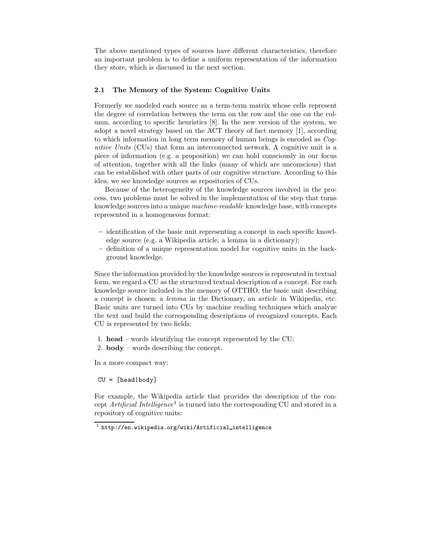The above mentioned types of sources have different characteristics, therefore an important problem is to define a uniform representation of the information they store, which is discussed in the next section.

#### **2.1 The Memory of the System: Cognitive Units**

Formerly we modeled each source as a term-term matrix whose cells represent the degree of correlation between the term on the row and the one on the column, according to specific heuristics [8]. In the new version of the system, we adopt a novel strategy based on the ACT theory of fact memory [1], according to which information in long term memory of human beings is encoded as *Cognitive Units* (CUs) that form an interconnected network. A cognitive unit is a piece of information (e.g. a proposition) we can hold consciously in our focus of attention, together with all the links (many of which are unconscious) that can be established with other parts of our cognitive structure. According to this idea, we see knowledge sources as repositories of CUs.

Because of the heterogeneity of the knowledge sources involved in the process, two problems must be solved in the implementation of the step that turns knowledge sources into a unique *machine-readable* knowledge base, with concepts represented in a homogeneous format:

- **–** identification of the basic unit representing a concept in each specific knowledge source (e.g. a Wikipedia article, a lemma in a dictionary);
- **–** definition of a unique representation model for cognitive units in the background knowledge.

Since the information provided by the knowledge sources is represented in textual form, we regard a CU as the structured textual description of a concept. For each knowledge source included in the memory of OTTHO, the basic unit describing a concept is chosen: a *lemma* in the Dictionary, an *article* in Wikipedia, etc. Basic units are turned into CUs by machine reading techniques which analyze the text and build the corresponding descriptions of recognized concepts. Each CU is represented by two fields:

1. **head** – words identifying the concept represented by the CU;

2. **body** – words describing the concept.

In a more compact way:

CU = [head|body]

For example, the Wikipedia article that provides the description of the concept *Artificial Intelligence*<sup>1</sup> is turned into the corresponding CU and stored in a repository of cognitive units:

<sup>1</sup> http://en.wikipedia.org/wiki/Artificial intelligence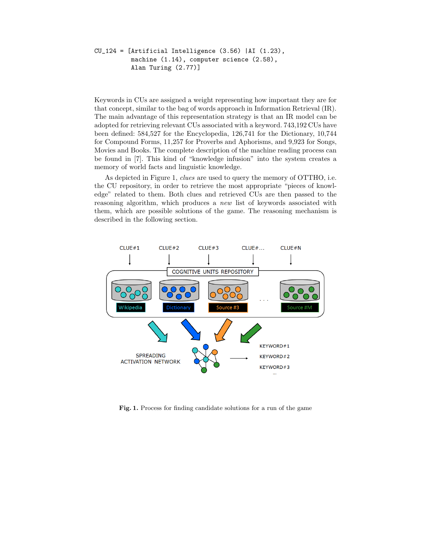```
CU_124 = [Artificial Intelligence (3.56) |AI (1.23),
machine (1.14), computer science (2.58),
 Alan Turing (2.77)]
```
Keywords in CUs are assigned a weight representing how important they are for that concept, similar to the bag of words approach in Information Retrieval (IR). The main advantage of this representation strategy is that an IR model can be adopted for retrieving relevant CUs associated with a keyword. 743,192 CUs have been defined: 584,527 for the Encyclopedia, 126,741 for the Dictionary, 10,744 for Compound Forms, 11,257 for Proverbs and Aphorisms, and 9,923 for Songs, Movies and Books. The complete description of the machine reading process can be found in [7]. This kind of "knowledge infusion" into the system creates a memory of world facts and linguistic knowledge.

As depicted in Figure 1, *clues* are used to query the memory of OTTHO, i.e. the CU repository, in order to retrieve the most appropriate "pieces of knowledge" related to them. Both clues and retrieved CUs are then passed to the reasoning algorithm, which produces a *new* list of keywords associated with them, which are possible solutions of the game. The reasoning mechanism is described in the following section.



**Fig. 1.** Process for finding candidate solutions for a run of the game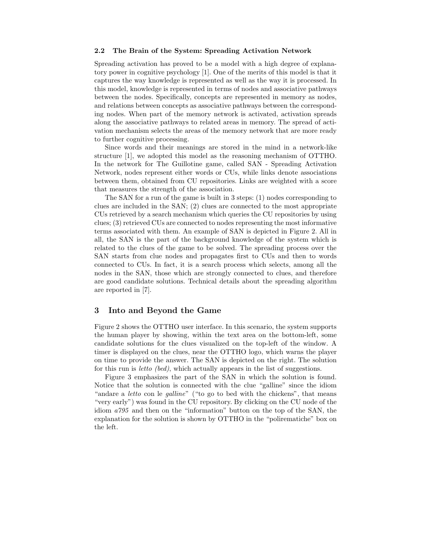#### **2.2 The Brain of the System: Spreading Activation Network**

Spreading activation has proved to be a model with a high degree of explanatory power in cognitive psychology [1]. One of the merits of this model is that it captures the way knowledge is represented as well as the way it is processed. In this model, knowledge is represented in terms of nodes and associative pathways between the nodes. Specifically, concepts are represented in memory as nodes, and relations between concepts as associative pathways between the corresponding nodes. When part of the memory network is activated, activation spreads along the associative pathways to related areas in memory. The spread of activation mechanism selects the areas of the memory network that are more ready to further cognitive processing.

Since words and their meanings are stored in the mind in a network-like structure [1], we adopted this model as the reasoning mechanism of OTTHO. In the network for The Guillotine game, called SAN - Spreading Activation Network, nodes represent either words or CUs, while links denote associations between them, obtained from CU repositories. Links are weighted with a score that measures the strength of the association.

The SAN for a run of the game is built in 3 steps: (1) nodes corresponding to clues are included in the SAN; (2) clues are connected to the most appropriate CUs retrieved by a search mechanism which queries the CU repositories by using clues; (3) retrieved CUs are connected to nodes representing the most informative terms associated with them. An example of SAN is depicted in Figure 2. All in all, the SAN is the part of the background knowledge of the system which is related to the clues of the game to be solved. The spreading process over the SAN starts from clue nodes and propagates first to CUs and then to words connected to CUs. In fact, it is a search process which selects, among all the nodes in the SAN, those which are strongly connected to clues, and therefore are good candidate solutions. Technical details about the spreading algorithm are reported in [7].

#### **3 Into and Beyond the Game**

Figure 2 shows the OTTHO user interface. In this scenario, the system supports the human player by showing, within the text area on the bottom-left, some candidate solutions for the clues visualized on the top-left of the window. A timer is displayed on the clues, near the OTTHO logo, which warns the player on time to provide the answer. The SAN is depicted on the right. The solution for this run is *letto (bed)*, which actually appears in the list of suggestions.

Figure 3 emphasizes the part of the SAN in which the solution is found. Notice that the solution is connected with the clue "galline" since the idiom "andare a *letto* con le *galline*" ("to go to bed with the chickens", that means "very early") was found in the CU repository. By clicking on the CU node of the idiom *a795* and then on the "information" button on the top of the SAN, the explanation for the solution is shown by OTTHO in the "polirematiche" box on the left.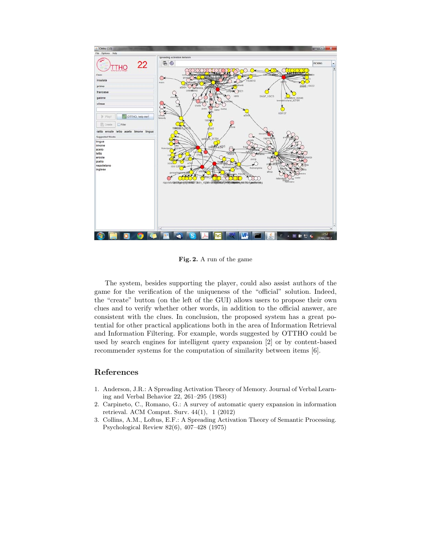

**Fig. 2.** A run of the game

The system, besides supporting the player, could also assist authors of the game for the verification of the uniqueness of the "official" solution. Indeed, the "create" button (on the left of the GUI) allows users to propose their own clues and to verify whether other words, in addition to the official answer, are consistent with the clues. In conclusion, the proposed system has a great potential for other practical applications both in the area of Information Retrieval and Information Filtering. For example, words suggested by OTTHO could be used by search engines for intelligent query expansion [2] or by content-based recommender systems for the computation of similarity between items [6].

## **References**

- 1. Anderson, J.R.: A Spreading Activation Theory of Memory. Journal of Verbal Learning and Verbal Behavior 22, 261–295 (1983)
- 2. Carpineto, C., Romano, G.: A survey of automatic query expansion in information retrieval. ACM Comput. Surv. 44(1), 1 (2012)
- 3. Collins, A.M., Loftus, E.F.: A Spreading Activation Theory of Semantic Processing. Psychological Review 82(6), 407–428 (1975)